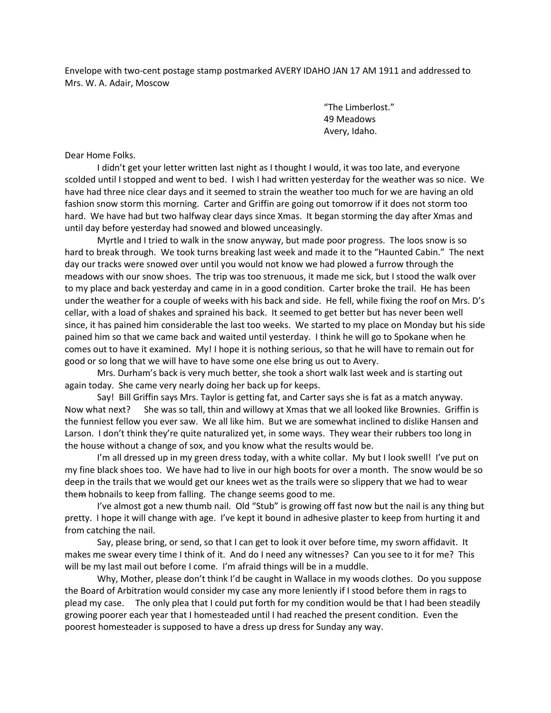Envelope with two-cent postage stamp postmarked AVERY IDAHO JAN 17 AM 1911 and addressed to Mrs. W. A. Adair, Moscow

> "The Limberlost." 49 Meadows Avery, Idaho.

Dear Home Folks.

I didn't get your letter written last night as I thought I would, it was too late, and everyone scolded until I stopped and went to bed. I wish I had written yesterday for the weather was so nice. We have had three nice clear days and it seemed to strain the weather too much for we are having an old fashion snow storm this morning. Carter and Griffin are going out tomorrow if it does not storm too hard. We have had but two halfway clear days since Xmas. It began storming the day after Xmas and until day before yesterday had snowed and blowed unceasingly.

Myrtle and I tried to walk in the snow anyway, but made poor progress. The loos snow is so hard to break through. We took turns breaking last week and made it to the "Haunted Cabin." The next day our tracks were snowed over until you would not know we had plowed a furrow through the meadows with our snow shoes. The trip was too strenuous, it made me sick, but I stood the walk over to my place and back yesterday and came in in a good condition. Carter broke the trail. He has been under the weather for a couple of weeks with his back and side. He fell, while fixing the roof on Mrs. D's cellar, with a load of shakes and sprained his back. It seemed to get better but has never been well since, it has pained him considerable the last too weeks. We started to my place on Monday but his side pained him so that we came back and waited until yesterday. I think he will go to Spokane when he comes out to have it examined. My! I hope it is nothing serious, so that he will have to remain out for good or so long that we will have to have some one else bring us out to Avery.

Mrs. Durham's back is very much better, she took a short walk last week and is starting out again today. She came very nearly doing her back up for keeps.

Say! Bill Griffin says Mrs. Taylor is getting fat, and Carter says she is fat as a match anyway. Now what next? She was so tall, thin and willowy at Xmas that we all looked like Brownies. Griffin is the funniest fellow you ever saw. We all like him. But we are somewhat inclined to dislike Hansen and Larson. I don't think they're quite naturalized yet, in some ways. They wear their rubbers too long in the house without a change of sox, and you know what the results would be.

I'm all dressed up in my green dress today, with a white collar. My but I look swell! I've put on my fine black shoes too. We have had to live in our high boots for over a month. The snow would be so deep in the trails that we would get our knees wet as the trails were so slippery that we had to wear them hobnails to keep from falling. The change seems good to me.

I've almost got a new thumb nail. Old "Stub" is growing off fast now but the nail is any thing but pretty. I hope it will change with age. I've kept it bound in adhesive plaster to keep from hurting it and from catching the nail.

Say, please bring, or send, so that I can get to look it over before time, my sworn affidavit. It makes me swear every time I think of it. And do I need any witnesses? Can you see to it for me? This will be my last mail out before I come. I'm afraid things will be in a muddle.

Why, Mother, please don't think I'd be caught in Wallace in my woods clothes. Do you suppose the Board of Arbitration would consider my case any more leniently if I stood before them in rags to plead my case. The only plea that I could put forth for my condition would be that I had been steadily growing poorer each year that I homesteaded until I had reached the present condition. Even the poorest homesteader is supposed to have a dress up dress for Sunday any way.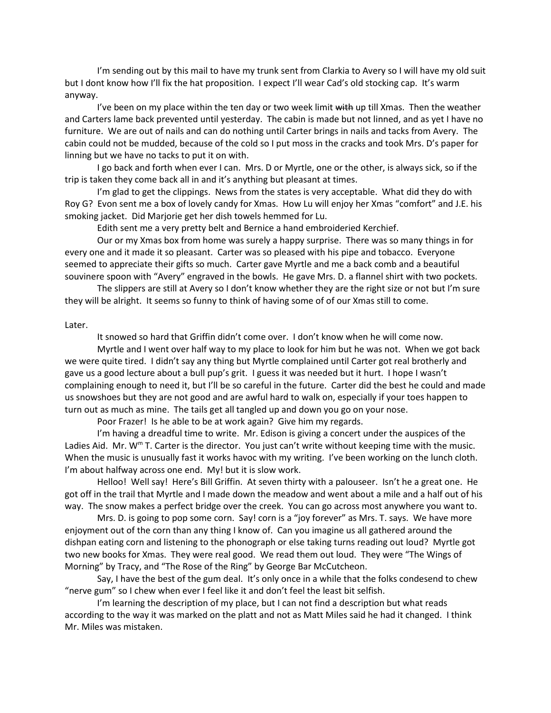I'm sending out by this mail to have my trunk sent from Clarkia to Avery so I will have my old suit but I dont know how I'll fix the hat proposition. I expect I'll wear Cad's old stocking cap. It's warm anyway.

I've been on my place within the ten day or two week limit with up till Xmas. Then the weather and Carters lame back prevented until yesterday. The cabin is made but not linned, and as yet I have no furniture. We are out of nails and can do nothing until Carter brings in nails and tacks from Avery. The cabin could not be mudded, because of the cold so I put moss in the cracks and took Mrs. D's paper for linning but we have no tacks to put it on with.

I go back and forth when ever I can. Mrs. D or Myrtle, one or the other, is always sick, so if the trip is taken they come back all in and it's anything but pleasant at times.

I'm glad to get the clippings. News from the states is very acceptable. What did they do with Roy G? Evon sent me a box of lovely candy for Xmas. How Lu will enjoy her Xmas "comfort" and J.E. his smoking jacket. Did Marjorie get her dish towels hemmed for Lu.

Edith sent me a very pretty belt and Bernice a hand embroideried Kerchief.

Our or my Xmas box from home was surely a happy surprise. There was so many things in for every one and it made it so pleasant. Carter was so pleased with his pipe and tobacco. Everyone seemed to appreciate their gifts so much. Carter gave Myrtle and me a back comb and a beautiful souvinere spoon with "Avery" engraved in the bowls. He gave Mrs. D. a flannel shirt with two pockets.

The slippers are still at Avery so I don't know whether they are the right size or not but I'm sure they will be alright. It seems so funny to think of having some of of our Xmas still to come.

## Later.

It snowed so hard that Griffin didn't come over. I don't know when he will come now.

Myrtle and I went over half way to my place to look for him but he was not. When we got back we were quite tired. I didn't say any thing but Myrtle complained until Carter got real brotherly and gave us a good lecture about a bull pup's grit. I guess it was needed but it hurt. I hope I wasn't complaining enough to need it, but I'll be so careful in the future. Carter did the best he could and made us snowshoes but they are not good and are awful hard to walk on, especially if your toes happen to turn out as much as mine. The tails get all tangled up and down you go on your nose.

Poor Frazer! Is he able to be at work again? Give him my regards.

I'm having a dreadful time to write. Mr. Edison is giving a concert under the auspices of the Ladies Aid. Mr. W<sup>m</sup> T. Carter is the director. You just can't write without keeping time with the music. When the music is unusually fast it works havoc with my writing. I've been working on the lunch cloth. I'm about halfway across one end. My! but it is slow work.

Helloo! Well say! Here's Bill Griffin. At seven thirty with a palouseer. Isn't he a great one. He got off in the trail that Myrtle and I made down the meadow and went about a mile and a half out of his way. The snow makes a perfect bridge over the creek. You can go across most anywhere you want to.

Mrs. D. is going to pop some corn. Say! corn is a "joy forever" as Mrs. T. says. We have more enjoyment out of the corn than any thing I know of. Can you imagine us all gathered around the dishpan eating corn and listening to the phonograph or else taking turns reading out loud? Myrtle got two new books for Xmas. They were real good. We read them out loud. They were "The Wings of Morning" by Tracy, and "The Rose of the Ring" by George Bar McCutcheon.

Say, I have the best of the gum deal. It's only once in a while that the folks condesend to chew "nerve gum" so I chew when ever I feel like it and don't feel the least bit selfish.

I'm learning the description of my place, but I can not find a description but what reads according to the way it was marked on the platt and not as Matt Miles said he had it changed. I think Mr. Miles was mistaken.